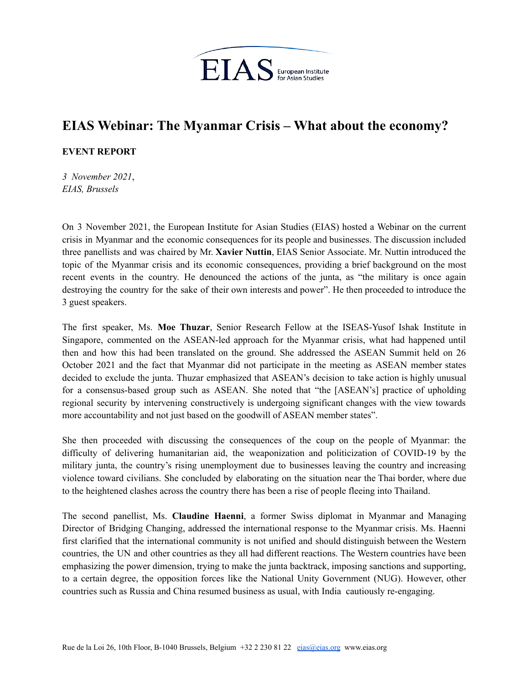

## **EIAS Webinar: The Myanmar Crisis – What about the economy?**

## **EVENT REPORT**

*3 November 2021*, *EIAS, Brussels*

On 3 November 2021, the European Institute for Asian Studies (EIAS) hosted a Webinar on the current crisis in Myanmar and the economic consequences for its people and businesses. The discussion included three panellists and was chaired by Mr. **Xavier Nuttin**, EIAS Senior Associate. Mr. Nuttin introduced the topic of the Myanmar crisis and its economic consequences, providing a brief background on the most recent events in the country. He denounced the actions of the junta, as "the military is once again destroying the country for the sake of their own interests and power". He then proceeded to introduce the 3 guest speakers.

The first speaker, Ms. **Moe Thuzar**, Senior Research Fellow at the ISEAS-Yusof Ishak Institute in Singapore, commented on the ASEAN-led approach for the Myanmar crisis, what had happened until then and how this had been translated on the ground. She addressed the ASEAN Summit held on 26 October 2021 and the fact that Myanmar did not participate in the meeting as ASEAN member states decided to exclude the junta. Thuzar emphasized that ASEAN's decision to take action is highly unusual for a consensus-based group such as ASEAN. She noted that "the [ASEAN's] practice of upholding regional security by intervening constructively is undergoing significant changes with the view towards more accountability and not just based on the goodwill of ASEAN member states".

She then proceeded with discussing the consequences of the coup on the people of Myanmar: the difficulty of delivering humanitarian aid, the weaponization and politicization of COVID-19 by the military junta, the country's rising unemployment due to businesses leaving the country and increasing violence toward civilians. She concluded by elaborating on the situation near the Thai border, where due to the heightened clashes across the country there has been a rise of people fleeing into Thailand.

The second panellist, Ms. **Claudine Haenni**, a former Swiss diplomat in Myanmar and Managing Director of Bridging Changing, addressed the international response to the Myanmar crisis. Ms. Haenni first clarified that the international community is not unified and should distinguish between the Western countries, the UN and other countries as they all had different reactions. The Western countries have been emphasizing the power dimension, trying to make the junta backtrack, imposing sanctions and supporting, to a certain degree, the opposition forces like the National Unity Government (NUG). However, other countries such as Russia and China resumed business as usual, with India cautiously re-engaging.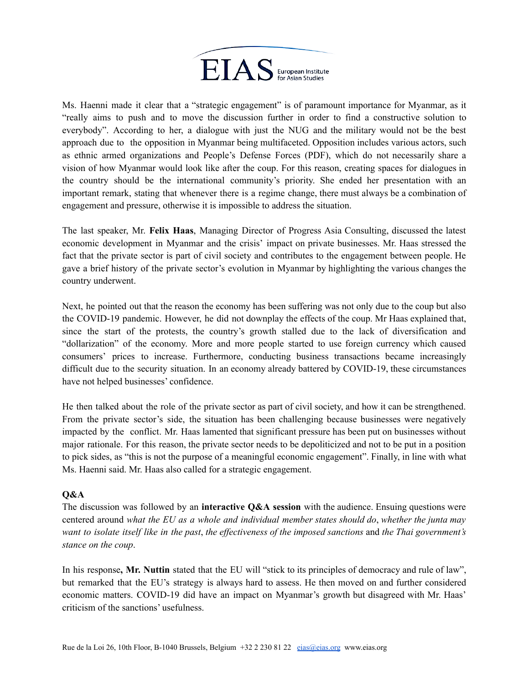

Ms. Haenni made it clear that a "strategic engagement" is of paramount importance for Myanmar, as it "really aims to push and to move the discussion further in order to find a constructive solution to everybody". According to her, a dialogue with just the NUG and the military would not be the best approach due to the opposition in Myanmar being multifaceted. Opposition includes various actors, such as ethnic armed organizations and People's Defense Forces (PDF), which do not necessarily share a vision of how Myanmar would look like after the coup. For this reason, creating spaces for dialogues in the country should be the international community's priority. She ended her presentation with an important remark, stating that whenever there is a regime change, there must always be a combination of engagement and pressure, otherwise it is impossible to address the situation.

The last speaker, Mr. **Felix Haas**, Managing Director of Progress Asia Consulting, discussed the latest economic development in Myanmar and the crisis' impact on private businesses. Mr. Haas stressed the fact that the private sector is part of civil society and contributes to the engagement between people. He gave a brief history of the private sector's evolution in Myanmar by highlighting the various changes the country underwent.

Next, he pointed out that the reason the economy has been suffering was not only due to the coup but also the COVID-19 pandemic. However, he did not downplay the effects of the coup. Mr Haas explained that, since the start of the protests, the country's growth stalled due to the lack of diversification and "dollarization" of the economy. More and more people started to use foreign currency which caused consumers' prices to increase. Furthermore, conducting business transactions became increasingly difficult due to the security situation. In an economy already battered by COVID-19, these circumstances have not helped businesses' confidence.

He then talked about the role of the private sector as part of civil society, and how it can be strengthened. From the private sector's side, the situation has been challenging because businesses were negatively impacted by the conflict. Mr. Haas lamented that significant pressure has been put on businesses without major rationale. For this reason, the private sector needs to be depoliticized and not to be put in a position to pick sides, as "this is not the purpose of a meaningful economic engagement". Finally, in line with what Ms. Haenni said. Mr. Haas also called for a strategic engagement.

## **Q&A**

The discussion was followed by an **interactive Q&A session** with the audience. Ensuing questions were centered around *what the EU as a whole and individual member states should do*, *whether the junta may* want to isolate itself like in the past, the effectiveness of the imposed sanctions and the Thai government's *stance on the coup*.

In his response**, Mr. Nuttin** stated that the EU will "stick to its principles of democracy and rule of law", but remarked that the EU's strategy is always hard to assess. He then moved on and further considered economic matters. COVID-19 did have an impact on Myanmar's growth but disagreed with Mr. Haas' criticism of the sanctions' usefulness.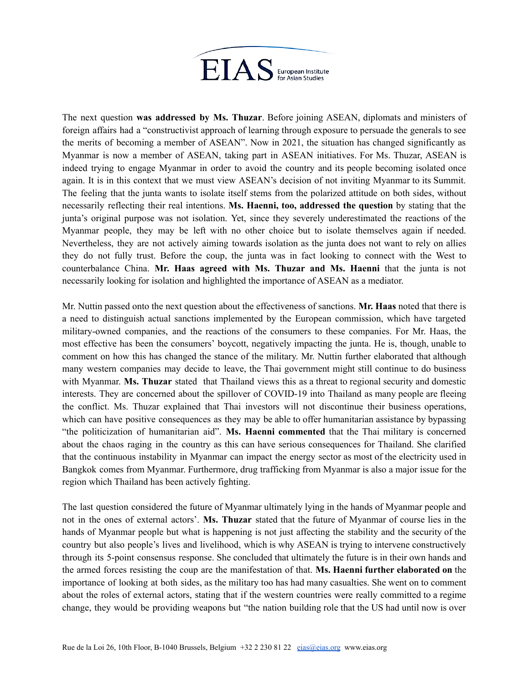

The next question **was addressed by Ms. Thuzar**. Before joining ASEAN, diplomats and ministers of foreign affairs had a "constructivist approach of learning through exposure to persuade the generals to see the merits of becoming a member of ASEAN". Now in 2021, the situation has changed significantly as Myanmar is now a member of ASEAN, taking part in ASEAN initiatives. For Ms. Thuzar, ASEAN is indeed trying to engage Myanmar in order to avoid the country and its people becoming isolated once again. It is in this context that we must view ASEAN's decision of not inviting Myanmar to its Summit. The feeling that the junta wants to isolate itself stems from the polarized attitude on both sides, without necessarily reflecting their real intentions. **Ms. Haenni, too, addressed the question** by stating that the junta's original purpose was not isolation. Yet, since they severely underestimated the reactions of the Myanmar people, they may be left with no other choice but to isolate themselves again if needed. Nevertheless, they are not actively aiming towards isolation as the junta does not want to rely on allies they do not fully trust. Before the coup, the junta was in fact looking to connect with the West to counterbalance China. **Mr. Haas agreed with Ms. Thuzar and Ms. Haenni** that the junta is not necessarily looking for isolation and highlighted the importance of ASEAN as a mediator.

Mr. Nuttin passed onto the next question about the effectiveness of sanctions. **Mr. Haas** noted that there is a need to distinguish actual sanctions implemented by the European commission, which have targeted military-owned companies, and the reactions of the consumers to these companies. For Mr. Haas, the most effective has been the consumers' boycott, negatively impacting the junta. He is, though, unable to comment on how this has changed the stance of the military. Mr. Nuttin further elaborated that although many western companies may decide to leave, the Thai government might still continue to do business with Myanmar. **Ms. Thuzar** stated that Thailand views this as a threat to regional security and domestic interests. They are concerned about the spillover of COVID-19 into Thailand as many people are fleeing the conflict. Ms. Thuzar explained that Thai investors will not discontinue their business operations, which can have positive consequences as they may be able to offer humanitarian assistance by bypassing "the politicization of humanitarian aid". **Ms. Haenni commented** that the Thai military is concerned about the chaos raging in the country as this can have serious consequences for Thailand. She clarified that the continuous instability in Myanmar can impact the energy sector as most of the electricity used in Bangkok comes from Myanmar. Furthermore, drug trafficking from Myanmar is also a major issue for the region which Thailand has been actively fighting.

The last question considered the future of Myanmar ultimately lying in the hands of Myanmar people and not in the ones of external actors'. **Ms. Thuzar** stated that the future of Myanmar of course lies in the hands of Myanmar people but what is happening is not just affecting the stability and the security of the country but also people's lives and livelihood, which is why ASEAN is trying to intervene constructively through its 5-point consensus response. She concluded that ultimately the future is in their own hands and the armed forces resisting the coup are the manifestation of that. **Ms. Haenni further elaborated on** the importance of looking at both sides, as the military too has had many casualties. She went on to comment about the roles of external actors, stating that if the western countries were really committed to a regime change, they would be providing weapons but "the nation building role that the US had until now is over